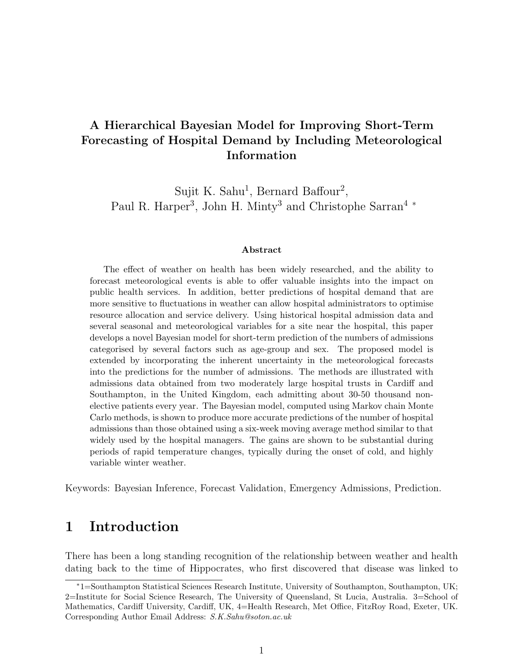## A Hierarchical Bayesian Model for Improving Short-Term Forecasting of Hospital Demand by Including Meteorological Information

Sujit K. Sahu<sup>1</sup>, Bernard Baffour<sup>2</sup>, Paul R. Harper<sup>3</sup>, John H. Minty<sup>3</sup> and Christophe Sarran<sup>4</sup><sup>\*</sup>

#### Abstract

The effect of weather on health has been widely researched, and the ability to forecast meteorological events is able to offer valuable insights into the impact on public health services. In addition, better predictions of hospital demand that are more sensitive to fluctuations in weather can allow hospital administrators to optimise resource allocation and service delivery. Using historical hospital admission data and several seasonal and meteorological variables for a site near the hospital, this paper develops a novel Bayesian model for short-term prediction of the numbers of admissions categorised by several factors such as age-group and sex. The proposed model is extended by incorporating the inherent uncertainty in the meteorological forecasts into the predictions for the number of admissions. The methods are illustrated with admissions data obtained from two moderately large hospital trusts in Cardiff and Southampton, in the United Kingdom, each admitting about 30-50 thousand nonelective patients every year. The Bayesian model, computed using Markov chain Monte Carlo methods, is shown to produce more accurate predictions of the number of hospital admissions than those obtained using a six-week moving average method similar to that widely used by the hospital managers. The gains are shown to be substantial during periods of rapid temperature changes, typically during the onset of cold, and highly variable winter weather.

Keywords: Bayesian Inference, Forecast Validation, Emergency Admissions, Prediction.

#### 1 Introduction

There has been a long standing recognition of the relationship between weather and health dating back to the time of Hippocrates, who first discovered that disease was linked to

<sup>∗</sup>1=Southampton Statistical Sciences Research Institute, University of Southampton, Southampton, UK; 2=Institute for Social Science Research, The University of Queensland, St Lucia, Australia. 3=School of Mathematics, Cardiff University, Cardiff, UK, 4=Health Research, Met Office, FitzRoy Road, Exeter, UK. Corresponding Author Email Address: S.K.Sahu@soton.ac.uk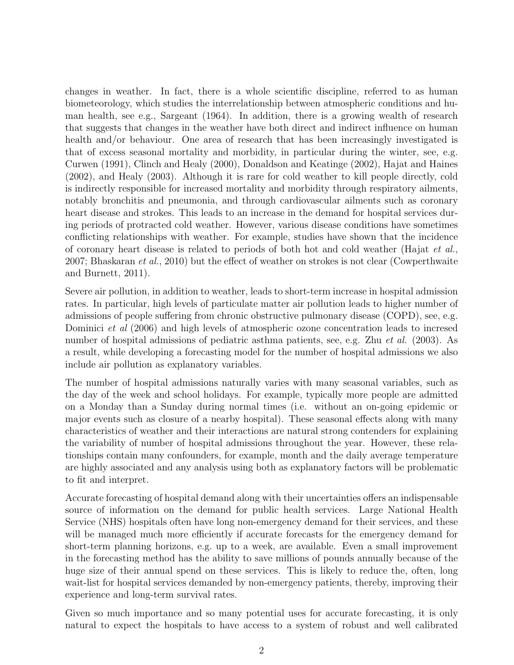changes in weather. In fact, there is a whole scientific discipline, referred to as human biometeorology, which studies the interrelationship between atmospheric conditions and human health, see e.g., Sargeant (1964). In addition, there is a growing wealth of research that suggests that changes in the weather have both direct and indirect influence on human health and/or behaviour. One area of research that has been increasingly investigated is that of excess seasonal mortality and morbidity, in particular during the winter, see, e.g. Curwen (1991), Clinch and Healy (2000), Donaldson and Keatinge (2002), Hajat and Haines (2002), and Healy (2003). Although it is rare for cold weather to kill people directly, cold is indirectly responsible for increased mortality and morbidity through respiratory ailments, notably bronchitis and pneumonia, and through cardiovascular ailments such as coronary heart disease and strokes. This leads to an increase in the demand for hospital services during periods of protracted cold weather. However, various disease conditions have sometimes conflicting relationships with weather. For example, studies have shown that the incidence of coronary heart disease is related to periods of both hot and cold weather (Hajat et al., 2007; Bhaskaran *et al.*, 2010) but the effect of weather on strokes is not clear (Cowperthwaite and Burnett, 2011).

Severe air pollution, in addition to weather, leads to short-term increase in hospital admission rates. In particular, high levels of particulate matter air pollution leads to higher number of admissions of people suffering from chronic obstructive pulmonary disease (COPD), see, e.g. Dominici et al (2006) and high levels of atmospheric ozone concentration leads to incresed number of hospital admissions of pediatric asthma patients, see, e.g. Zhu et al. (2003). As a result, while developing a forecasting model for the number of hospital admissions we also include air pollution as explanatory variables.

The number of hospital admissions naturally varies with many seasonal variables, such as the day of the week and school holidays. For example, typically more people are admitted on a Monday than a Sunday during normal times (i.e. without an on-going epidemic or major events such as closure of a nearby hospital). These seasonal effects along with many characteristics of weather and their interactions are natural strong contenders for explaining the variability of number of hospital admissions throughout the year. However, these relationships contain many confounders, for example, month and the daily average temperature are highly associated and any analysis using both as explanatory factors will be problematic to fit and interpret.

Accurate forecasting of hospital demand along with their uncertainties offers an indispensable source of information on the demand for public health services. Large National Health Service (NHS) hospitals often have long non-emergency demand for their services, and these will be managed much more efficiently if accurate forecasts for the emergency demand for short-term planning horizons, e.g. up to a week, are available. Even a small improvement in the forecasting method has the ability to save millions of pounds annually because of the huge size of their annual spend on these services. This is likely to reduce the, often, long wait-list for hospital services demanded by non-emergency patients, thereby, improving their experience and long-term survival rates.

Given so much importance and so many potential uses for accurate forecasting, it is only natural to expect the hospitals to have access to a system of robust and well calibrated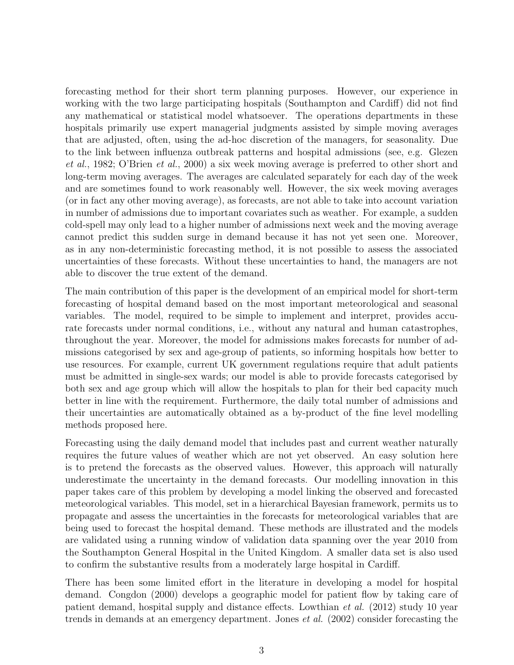forecasting method for their short term planning purposes. However, our experience in working with the two large participating hospitals (Southampton and Cardiff) did not find any mathematical or statistical model whatsoever. The operations departments in these hospitals primarily use expert managerial judgments assisted by simple moving averages that are adjusted, often, using the ad-hoc discretion of the managers, for seasonality. Due to the link between influenza outbreak patterns and hospital admissions (see, e.g. Glezen et al., 1982; O'Brien et al., 2000) a six week moving average is preferred to other short and long-term moving averages. The averages are calculated separately for each day of the week and are sometimes found to work reasonably well. However, the six week moving averages (or in fact any other moving average), as forecasts, are not able to take into account variation in number of admissions due to important covariates such as weather. For example, a sudden cold-spell may only lead to a higher number of admissions next week and the moving average cannot predict this sudden surge in demand because it has not yet seen one. Moreover, as in any non-deterministic forecasting method, it is not possible to assess the associated uncertainties of these forecasts. Without these uncertainties to hand, the managers are not able to discover the true extent of the demand.

The main contribution of this paper is the development of an empirical model for short-term forecasting of hospital demand based on the most important meteorological and seasonal variables. The model, required to be simple to implement and interpret, provides accurate forecasts under normal conditions, i.e., without any natural and human catastrophes, throughout the year. Moreover, the model for admissions makes forecasts for number of admissions categorised by sex and age-group of patients, so informing hospitals how better to use resources. For example, current UK government regulations require that adult patients must be admitted in single-sex wards; our model is able to provide forecasts categorised by both sex and age group which will allow the hospitals to plan for their bed capacity much better in line with the requirement. Furthermore, the daily total number of admissions and their uncertainties are automatically obtained as a by-product of the fine level modelling methods proposed here.

Forecasting using the daily demand model that includes past and current weather naturally requires the future values of weather which are not yet observed. An easy solution here is to pretend the forecasts as the observed values. However, this approach will naturally underestimate the uncertainty in the demand forecasts. Our modelling innovation in this paper takes care of this problem by developing a model linking the observed and forecasted meteorological variables. This model, set in a hierarchical Bayesian framework, permits us to propagate and assess the uncertainties in the forecasts for meteorological variables that are being used to forecast the hospital demand. These methods are illustrated and the models are validated using a running window of validation data spanning over the year 2010 from the Southampton General Hospital in the United Kingdom. A smaller data set is also used to confirm the substantive results from a moderately large hospital in Cardiff.

There has been some limited effort in the literature in developing a model for hospital demand. Congdon (2000) develops a geographic model for patient flow by taking care of patient demand, hospital supply and distance effects. Lowthian et al. (2012) study 10 year trends in demands at an emergency department. Jones et al. (2002) consider forecasting the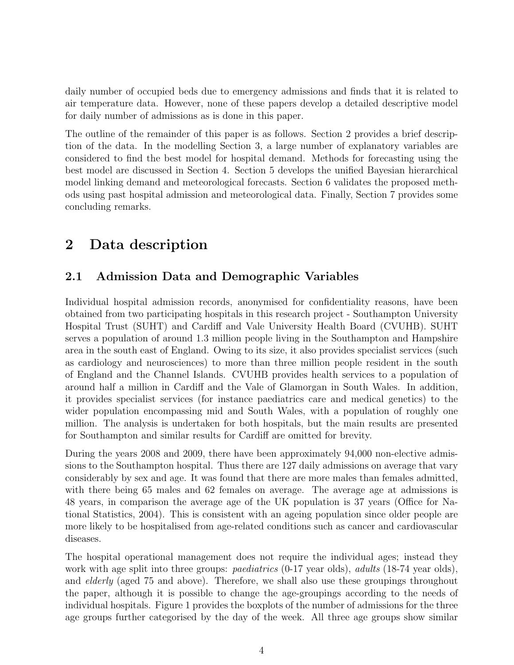daily number of occupied beds due to emergency admissions and finds that it is related to air temperature data. However, none of these papers develop a detailed descriptive model for daily number of admissions as is done in this paper.

The outline of the remainder of this paper is as follows. Section 2 provides a brief description of the data. In the modelling Section 3, a large number of explanatory variables are considered to find the best model for hospital demand. Methods for forecasting using the best model are discussed in Section 4. Section 5 develops the unified Bayesian hierarchical model linking demand and meteorological forecasts. Section 6 validates the proposed methods using past hospital admission and meteorological data. Finally, Section 7 provides some concluding remarks.

# 2 Data description

#### 2.1 Admission Data and Demographic Variables

Individual hospital admission records, anonymised for confidentiality reasons, have been obtained from two participating hospitals in this research project - Southampton University Hospital Trust (SUHT) and Cardiff and Vale University Health Board (CVUHB). SUHT serves a population of around 1.3 million people living in the Southampton and Hampshire area in the south east of England. Owing to its size, it also provides specialist services (such as cardiology and neurosciences) to more than three million people resident in the south of England and the Channel Islands. CVUHB provides health services to a population of around half a million in Cardiff and the Vale of Glamorgan in South Wales. In addition, it provides specialist services (for instance paediatrics care and medical genetics) to the wider population encompassing mid and South Wales, with a population of roughly one million. The analysis is undertaken for both hospitals, but the main results are presented for Southampton and similar results for Cardiff are omitted for brevity.

During the years 2008 and 2009, there have been approximately 94,000 non-elective admissions to the Southampton hospital. Thus there are 127 daily admissions on average that vary considerably by sex and age. It was found that there are more males than females admitted, with there being 65 males and 62 females on average. The average age at admissions is 48 years, in comparison the average age of the UK population is 37 years (Office for National Statistics, 2004). This is consistent with an ageing population since older people are more likely to be hospitalised from age-related conditions such as cancer and cardiovascular diseases.

The hospital operational management does not require the individual ages; instead they work with age split into three groups: *paediatrics*  $(0-17 \text{ year olds})$ , *adults*  $(18-74 \text{ year olds})$ , and *elderly* (aged 75 and above). Therefore, we shall also use these groupings throughout the paper, although it is possible to change the age-groupings according to the needs of individual hospitals. Figure 1 provides the boxplots of the number of admissions for the three age groups further categorised by the day of the week. All three age groups show similar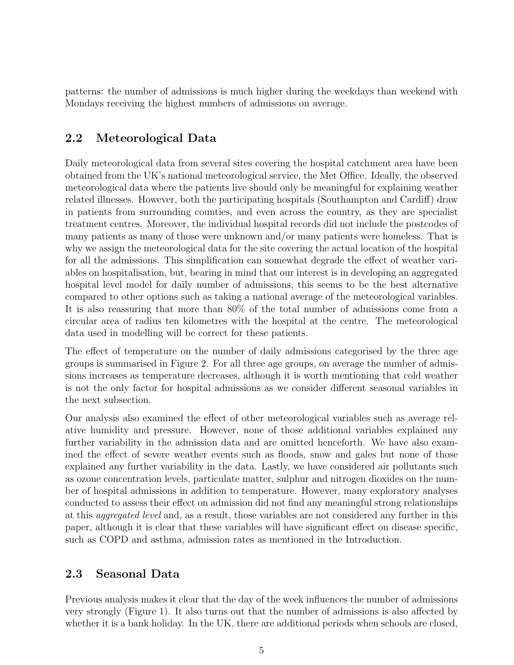patterns: the number of admissions is much higher during the weekdays than weekend with Mondays receiving the highest numbers of admissions on average.

#### 2.2 Meteorological Data

Daily meteorological data from several sites covering the hospital catchment area have been obtained from the UK's national meteorological service, the Met Office. Ideally, the observed meteorological data where the patients live should only be meaningful for explaining weather related illnesses. However, both the participating hospitals (Southampton and Cardiff) draw in patients from surrounding counties, and even across the country, as they are specialist treatment centres. Moreover, the individual hospital records did not include the postcodes of many patients as many of those were unknown and/or many patients were homeless. That is why we assign the meteorological data for the site covering the actual location of the hospital for all the admissions. This simplification can somewhat degrade the effect of weather variables on hospitalisation, but, bearing in mind that our interest is in developing an aggregated hospital level model for daily number of admissions, this seems to be the best alternative compared to other options such as taking a national average of the meteorological variables. It is also reassuring that more than 80% of the total number of admissions come from a circular area of radius ten kilometres with the hospital at the centre. The meteorological data used in modelling will be correct for these patients.

The effect of temperature on the number of daily admissions categorised by the three age groups is summarised in Figure 2. For all three age groups, on average the number of admissions increases as temperature decreases, although it is worth mentioning that cold weather is not the only factor for hospital admissions as we consider different seasonal variables in the next subsection.

Our analysis also examined the effect of other meteorological variables such as average relative humidity and pressure. However, none of those additional variables explained any further variability in the admission data and are omitted henceforth. We have also examined the effect of severe weather events such as floods, snow and gales but none of those explained any further variability in the data. Lastly, we have considered air pollutants such as ozone concentration levels, particulate matter, sulphur and nitrogen dioxides on the number of hospital admissions in addition to temperature. However, many exploratory analyses conducted to assess their effect on admission did not find any meaningful strong relationships at this aggregated level and, as a result, those variables are not considered any further in this paper, although it is clear that these variables will have significant effect on disease specific, such as COPD and asthma, admission rates as mentioned in the Introduction.

#### 2.3 Seasonal Data

Previous analysis makes it clear that the day of the week influences the number of admissions very strongly (Figure 1). It also turns out that the number of admissions is also affected by whether it is a bank holiday. In the UK, there are additional periods when schools are closed,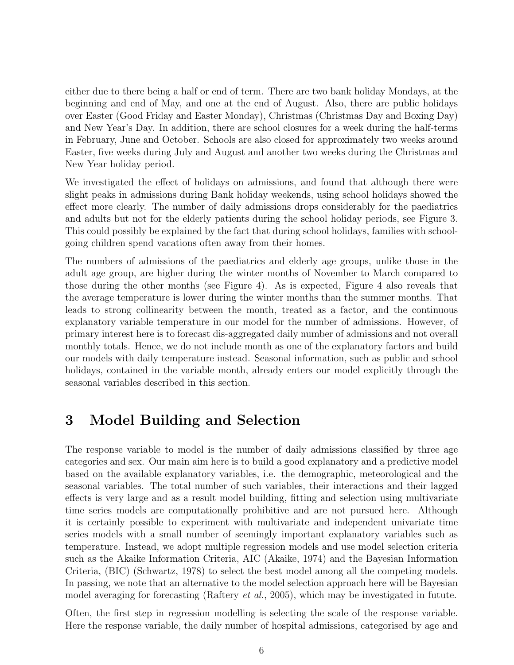either due to there being a half or end of term. There are two bank holiday Mondays, at the beginning and end of May, and one at the end of August. Also, there are public holidays over Easter (Good Friday and Easter Monday), Christmas (Christmas Day and Boxing Day) and New Year's Day. In addition, there are school closures for a week during the half-terms in February, June and October. Schools are also closed for approximately two weeks around Easter, five weeks during July and August and another two weeks during the Christmas and New Year holiday period.

We investigated the effect of holidays on admissions, and found that although there were slight peaks in admissions during Bank holiday weekends, using school holidays showed the effect more clearly. The number of daily admissions drops considerably for the paediatrics and adults but not for the elderly patients during the school holiday periods, see Figure 3. This could possibly be explained by the fact that during school holidays, families with schoolgoing children spend vacations often away from their homes.

The numbers of admissions of the paediatrics and elderly age groups, unlike those in the adult age group, are higher during the winter months of November to March compared to those during the other months (see Figure 4). As is expected, Figure 4 also reveals that the average temperature is lower during the winter months than the summer months. That leads to strong collinearity between the month, treated as a factor, and the continuous explanatory variable temperature in our model for the number of admissions. However, of primary interest here is to forecast dis-aggregated daily number of admissions and not overall monthly totals. Hence, we do not include month as one of the explanatory factors and build our models with daily temperature instead. Seasonal information, such as public and school holidays, contained in the variable month, already enters our model explicitly through the seasonal variables described in this section.

## 3 Model Building and Selection

The response variable to model is the number of daily admissions classified by three age categories and sex. Our main aim here is to build a good explanatory and a predictive model based on the available explanatory variables, i.e. the demographic, meteorological and the seasonal variables. The total number of such variables, their interactions and their lagged effects is very large and as a result model building, fitting and selection using multivariate time series models are computationally prohibitive and are not pursued here. Although it is certainly possible to experiment with multivariate and independent univariate time series models with a small number of seemingly important explanatory variables such as temperature. Instead, we adopt multiple regression models and use model selection criteria such as the Akaike Information Criteria, AIC (Akaike, 1974) and the Bayesian Information Criteria, (BIC) (Schwartz, 1978) to select the best model among all the competing models. In passing, we note that an alternative to the model selection approach here will be Bayesian model averaging for forecasting (Raftery *et al.*, 2005), which may be investigated in futute.

Often, the first step in regression modelling is selecting the scale of the response variable. Here the response variable, the daily number of hospital admissions, categorised by age and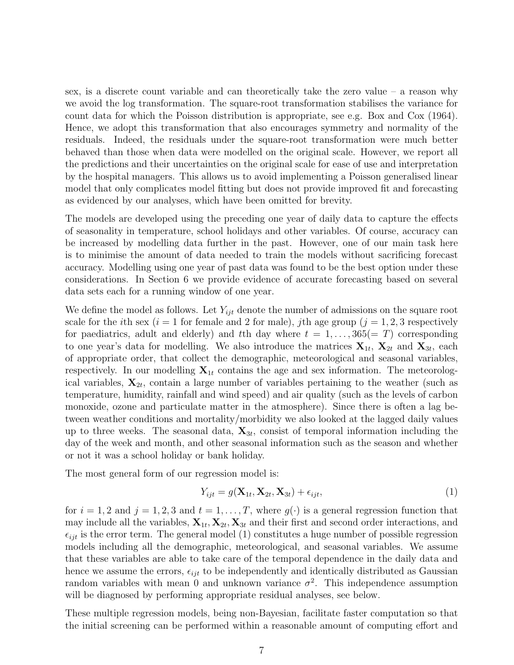sex, is a discrete count variable and can theoretically take the zero value – a reason why we avoid the log transformation. The square-root transformation stabilises the variance for count data for which the Poisson distribution is appropriate, see e.g. Box and Cox (1964). Hence, we adopt this transformation that also encourages symmetry and normality of the residuals. Indeed, the residuals under the square-root transformation were much better behaved than those when data were modelled on the original scale. However, we report all the predictions and their uncertainties on the original scale for ease of use and interpretation by the hospital managers. This allows us to avoid implementing a Poisson generalised linear model that only complicates model fitting but does not provide improved fit and forecasting as evidenced by our analyses, which have been omitted for brevity.

The models are developed using the preceding one year of daily data to capture the effects of seasonality in temperature, school holidays and other variables. Of course, accuracy can be increased by modelling data further in the past. However, one of our main task here is to minimise the amount of data needed to train the models without sacrificing forecast accuracy. Modelling using one year of past data was found to be the best option under these considerations. In Section 6 we provide evidence of accurate forecasting based on several data sets each for a running window of one year.

We define the model as follows. Let  $Y_{ijt}$  denote the number of admissions on the square root scale for the *i*th sex (*i* = 1 for female and 2 for male), *j*th age group (*j* = 1, 2, 3 respectively for paediatrics, adult and elderly) and the day where  $t = 1, \ldots, 365(= T)$  corresponding to one year's data for modelling. We also introduce the matrices  $X_{1t}$ ,  $X_{2t}$  and  $X_{3t}$ , each of appropriate order, that collect the demographic, meteorological and seasonal variables, respectively. In our modelling  $X_{1t}$  contains the age and sex information. The meteorological variables,  $\mathbf{X}_{2t}$ , contain a large number of variables pertaining to the weather (such as temperature, humidity, rainfall and wind speed) and air quality (such as the levels of carbon monoxide, ozone and particulate matter in the atmosphere). Since there is often a lag between weather conditions and mortality/morbidity we also looked at the lagged daily values up to three weeks. The seasonal data,  $\mathbf{X}_{3t}$ , consist of temporal information including the day of the week and month, and other seasonal information such as the season and whether or not it was a school holiday or bank holiday.

The most general form of our regression model is:

$$
Y_{ijt} = g(\mathbf{X}_{1t}, \mathbf{X}_{2t}, \mathbf{X}_{3t}) + \epsilon_{ijt},
$$
\n(1)

for  $i = 1, 2$  and  $j = 1, 2, 3$  and  $t = 1, \ldots, T$ , where  $g(\cdot)$  is a general regression function that may include all the variables,  $\mathbf{X}_{1t}, \mathbf{X}_{2t}, \mathbf{X}_{3t}$  and their first and second order interactions, and  $\epsilon_{i j t}$  is the error term. The general model (1) constitutes a huge number of possible regression models including all the demographic, meteorological, and seasonal variables. We assume that these variables are able to take care of the temporal dependence in the daily data and hence we assume the errors,  $\epsilon_{ijt}$  to be independently and identically distributed as Gaussian random variables with mean 0 and unknown variance  $\sigma^2$ . This independence assumption will be diagnosed by performing appropriate residual analyses, see below.

These multiple regression models, being non-Bayesian, facilitate faster computation so that the initial screening can be performed within a reasonable amount of computing effort and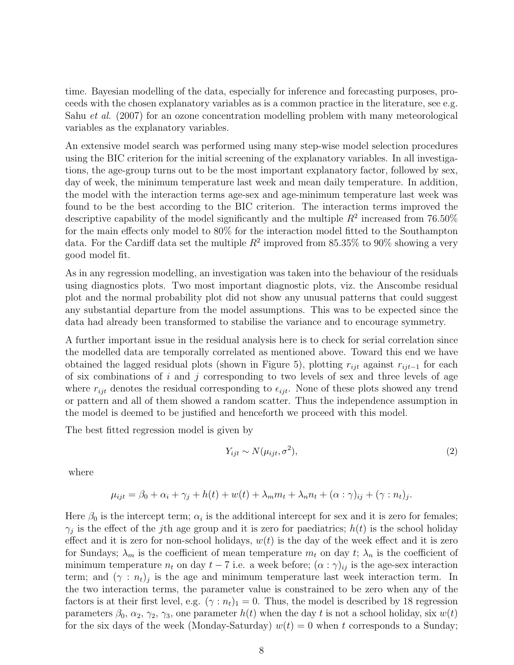time. Bayesian modelling of the data, especially for inference and forecasting purposes, proceeds with the chosen explanatory variables as is a common practice in the literature, see e.g. Sahu *et al.* (2007) for an ozone concentration modelling problem with many meteorological variables as the explanatory variables.

An extensive model search was performed using many step-wise model selection procedures using the BIC criterion for the initial screening of the explanatory variables. In all investigations, the age-group turns out to be the most important explanatory factor, followed by sex, day of week, the minimum temperature last week and mean daily temperature. In addition, the model with the interaction terms age-sex and age-minimum temperature last week was found to be the best according to the BIC criterion. The interaction terms improved the descriptive capability of the model significantly and the multiple  $R^2$  increased from 76.50% for the main effects only model to 80% for the interaction model fitted to the Southampton data. For the Cardiff data set the multiple  $R^2$  improved from 85.35% to 90% showing a very good model fit.

As in any regression modelling, an investigation was taken into the behaviour of the residuals using diagnostics plots. Two most important diagnostic plots, viz. the Anscombe residual plot and the normal probability plot did not show any unusual patterns that could suggest any substantial departure from the model assumptions. This was to be expected since the data had already been transformed to stabilise the variance and to encourage symmetry.

A further important issue in the residual analysis here is to check for serial correlation since the modelled data are temporally correlated as mentioned above. Toward this end we have obtained the lagged residual plots (shown in Figure 5), plotting  $r_{ijt}$  against  $r_{ijt-1}$  for each of six combinations of  $i$  and  $j$  corresponding to two levels of sex and three levels of age where  $r_{ijt}$  denotes the residual corresponding to  $\epsilon_{ijt}$ . None of these plots showed any trend or pattern and all of them showed a random scatter. Thus the independence assumption in the model is deemed to be justified and henceforth we proceed with this model.

The best fitted regression model is given by

$$
Y_{ijt} \sim N(\mu_{ijt}, \sigma^2),\tag{2}
$$

.

where

$$
\mu_{ijt} = \beta_0 + \alpha_i + \gamma_j + h(t) + w(t) + \lambda_m m_t + \lambda_n n_t + (\alpha : \gamma)_{ij} + (\gamma : n_t)_j
$$

Here  $\beta_0$  is the intercept term;  $\alpha_i$  is the additional intercept for sex and it is zero for females;  $\gamma_j$  is the effect of the j<sup>th</sup> age group and it is zero for paediatrics;  $h(t)$  is the school holiday effect and it is zero for non-school holidays,  $w(t)$  is the day of the week effect and it is zero for Sundays;  $\lambda_m$  is the coefficient of mean temperature  $m_t$  on day  $t$ ;  $\lambda_n$  is the coefficient of minimum temperature  $n_t$  on day  $t - 7$  i.e. a week before;  $(\alpha : \gamma)_{ij}$  is the age-sex interaction term; and  $(\gamma : n_t)_j$  is the age and minimum temperature last week interaction term. In the two interaction terms, the parameter value is constrained to be zero when any of the factors is at their first level, e.g.  $(\gamma : n_t)_1 = 0$ . Thus, the model is described by 18 regression parameters  $\beta_0$ ,  $\alpha_2$ ,  $\gamma_2$ ,  $\gamma_3$ , one parameter  $h(t)$  when the day t is not a school holiday, six  $w(t)$ for the six days of the week (Monday-Saturday)  $w(t) = 0$  when t corresponds to a Sunday;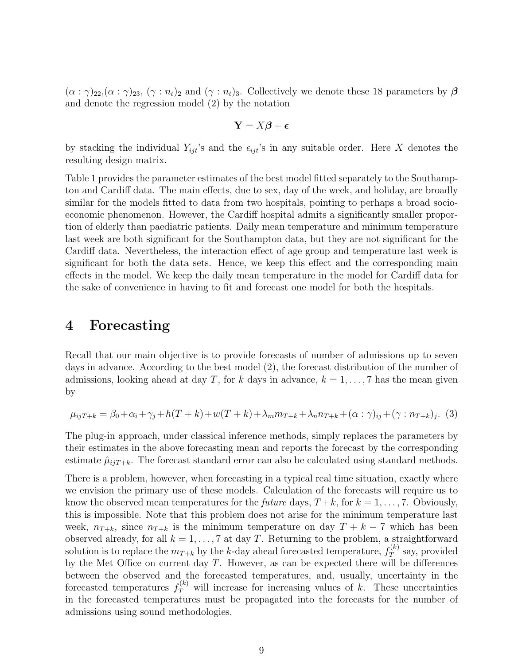$(\alpha : \gamma)_{22}$ ,  $(\alpha : \gamma)_{23}$ ,  $(\gamma : n_t)_2$  and  $(\gamma : n_t)_3$ . Collectively we denote these 18 parameters by  $\beta$ and denote the regression model (2) by the notation

$$
\mathbf{Y} = X\boldsymbol{\beta} + \boldsymbol{\epsilon}
$$

by stacking the individual  $Y_{ijt}$ 's and the  $\epsilon_{ijt}$ 's in any suitable order. Here X denotes the resulting design matrix.

Table 1 provides the parameter estimates of the best model fitted separately to the Southampton and Cardiff data. The main effects, due to sex, day of the week, and holiday, are broadly similar for the models fitted to data from two hospitals, pointing to perhaps a broad socioeconomic phenomenon. However, the Cardiff hospital admits a significantly smaller proportion of elderly than paediatric patients. Daily mean temperature and minimum temperature last week are both significant for the Southampton data, but they are not significant for the Cardiff data. Nevertheless, the interaction effect of age group and temperature last week is significant for both the data sets. Hence, we keep this effect and the corresponding main effects in the model. We keep the daily mean temperature in the model for Cardiff data for the sake of convenience in having to fit and forecast one model for both the hospitals.

#### 4 Forecasting

Recall that our main objective is to provide forecasts of number of admissions up to seven days in advance. According to the best model (2), the forecast distribution of the number of admissions, looking ahead at day T, for k days in advance,  $k = 1, \ldots, 7$  has the mean given by

$$
\mu_{ijT+k} = \beta_0 + \alpha_i + \gamma_j + h(T+k) + w(T+k) + \lambda_m m_{T+k} + \lambda_n n_{T+k} + (\alpha : \gamma)_{ij} + (\gamma : n_{T+k})_j. \tag{3}
$$

The plug-in approach, under classical inference methods, simply replaces the parameters by their estimates in the above forecasting mean and reports the forecast by the corresponding estimate  $\hat{\mu}_{ijT+k}$ . The forecast standard error can also be calculated using standard methods.

There is a problem, however, when forecasting in a typical real time situation, exactly where we envision the primary use of these models. Calculation of the forecasts will require us to know the observed mean temperatures for the *future* days,  $T+k$ , for  $k = 1, \ldots, 7$ . Obviously, this is impossible. Note that this problem does not arise for the minimum temperature last week,  $n_{T+k}$ , since  $n_{T+k}$  is the minimum temperature on day  $T + k - 7$  which has been observed already, for all  $k = 1, ..., 7$  at day T. Returning to the problem, a straightforward solution is to replace the  $m_{T+k}$  by the k-day ahead forecasted temperature,  $f_T^{(k)}$  $T^{(\kappa)}$  say, provided by the Met Office on current day  $T$ . However, as can be expected there will be differences between the observed and the forecasted temperatures, and, usually, uncertainty in the forecasted temperatures  $f_T^{(k)}$  will increase for increasing values of k. These uncertainties in the forecasted temperatures must be propagated into the forecasts for the number of admissions using sound methodologies.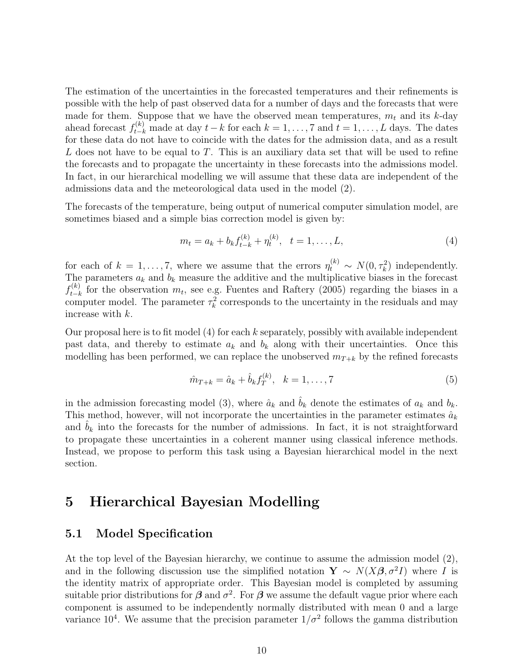The estimation of the uncertainties in the forecasted temperatures and their refinements is possible with the help of past observed data for a number of days and the forecasts that were made for them. Suppose that we have the observed mean temperatures,  $m_t$  and its k-day ahead forecast  $f_{t-k}^{(k)}$  made at day  $t-k$  for each  $k = 1, ..., 7$  and  $t = 1, ..., L$  days. The dates for these data do not have to coincide with the dates for the admission data, and as a result L does not have to be equal to T. This is an auxiliary data set that will be used to refine the forecasts and to propagate the uncertainty in these forecasts into the admissions model. In fact, in our hierarchical modelling we will assume that these data are independent of the admissions data and the meteorological data used in the model (2).

The forecasts of the temperature, being output of numerical computer simulation model, are sometimes biased and a simple bias correction model is given by:

$$
m_t = a_k + b_k f_{t-k}^{(k)} + \eta_t^{(k)}, \quad t = 1, \dots, L,
$$
\n(4)

for each of  $k = 1, ..., 7$ , where we assume that the errors  $\eta_t^{(k)} \sim N(0, \tau_k^2)$  independently. The parameters  $a_k$  and  $b_k$  measure the additive and the multiplicative biases in the forecast  $f_{t-k}^{(k)}$  $t_{t-k}^{(k)}$  for the observation  $m_t$ , see e.g. Fuentes and Raftery (2005) regarding the biases in a computer model. The parameter  $\tau_k^2$  corresponds to the uncertainty in the residuals and may increase with k.

Our proposal here is to fit model  $(4)$  for each k separately, possibly with available independent past data, and thereby to estimate  $a_k$  and  $b_k$  along with their uncertainties. Once this modelling has been performed, we can replace the unobserved  $m_{T+k}$  by the refined forecasts

$$
\hat{m}_{T+k} = \hat{a}_k + \hat{b}_k f_T^{(k)}, \quad k = 1, \dots, 7
$$
\n(5)

in the admission forecasting model (3), where  $\hat{a}_k$  and  $\hat{b}_k$  denote the estimates of  $a_k$  and  $b_k$ . This method, however, will not incorporate the uncertainties in the parameter estimates  $\hat{a}_k$ and  $b_k$  into the forecasts for the number of admissions. In fact, it is not straightforward to propagate these uncertainties in a coherent manner using classical inference methods. Instead, we propose to perform this task using a Bayesian hierarchical model in the next section.

### 5 Hierarchical Bayesian Modelling

#### 5.1 Model Specification

At the top level of the Bayesian hierarchy, we continue to assume the admission model (2), and in the following discussion use the simplified notation  $\mathbf{Y} \sim N(X\boldsymbol{\beta}, \sigma^2 I)$  where I is the identity matrix of appropriate order. This Bayesian model is completed by assuming suitable prior distributions for  $\beta$  and  $\sigma^2$ . For  $\beta$  we assume the default vague prior where each component is assumed to be independently normally distributed with mean 0 and a large variance 10<sup>4</sup>. We assume that the precision parameter  $1/\sigma^2$  follows the gamma distribution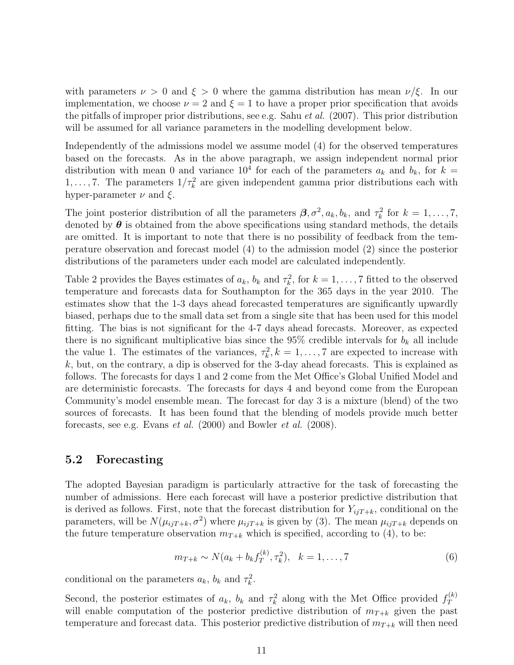with parameters  $\nu > 0$  and  $\xi > 0$  where the gamma distribution has mean  $\nu/\xi$ . In our implementation, we choose  $\nu = 2$  and  $\xi = 1$  to have a proper prior specification that avoids the pitfalls of improper prior distributions, see e.g. Sahu *et al.* (2007). This prior distribution will be assumed for all variance parameters in the modelling development below.

Independently of the admissions model we assume model (4) for the observed temperatures based on the forecasts. As in the above paragraph, we assign independent normal prior distribution with mean 0 and variance  $10^4$  for each of the parameters  $a_k$  and  $b_k$ , for  $k =$ 1,..., 7. The parameters  $1/\tau_k^2$  are given independent gamma prior distributions each with hyper-parameter  $\nu$  and  $\xi$ .

The joint posterior distribution of all the parameters  $\beta$ ,  $\sigma^2$ ,  $a_k$ ,  $b_k$ , and  $\tau_k^2$  for  $k = 1, \ldots, 7$ , denoted by  $\theta$  is obtained from the above specifications using standard methods, the details are omitted. It is important to note that there is no possibility of feedback from the temperature observation and forecast model (4) to the admission model (2) since the posterior distributions of the parameters under each model are calculated independently.

Table 2 provides the Bayes estimates of  $a_k$ ,  $b_k$  and  $\tau_k^2$ , for  $k = 1, ..., 7$  fitted to the observed temperature and forecasts data for Southampton for the 365 days in the year 2010. The estimates show that the 1-3 days ahead forecasted temperatures are significantly upwardly biased, perhaps due to the small data set from a single site that has been used for this model fitting. The bias is not significant for the 4-7 days ahead forecasts. Moreover, as expected there is no significant multiplicative bias since the 95% credible intervals for  $b_k$  all include the value 1. The estimates of the variances,  $\tau_k^2, k = 1, \ldots, 7$  are expected to increase with  $k$ , but, on the contrary, a dip is observed for the 3-day ahead forecasts. This is explained as follows. The forecasts for days 1 and 2 come from the Met Office's Global Unified Model and are deterministic forecasts. The forecasts for days 4 and beyond come from the European Community's model ensemble mean. The forecast for day 3 is a mixture (blend) of the two sources of forecasts. It has been found that the blending of models provide much better forecasts, see e.g. Evans et al. (2000) and Bowler et al. (2008).

#### 5.2 Forecasting

The adopted Bayesian paradigm is particularly attractive for the task of forecasting the number of admissions. Here each forecast will have a posterior predictive distribution that is derived as follows. First, note that the forecast distribution for  $Y_{ijT+k}$ , conditional on the parameters, will be  $N(\mu_{ij}T_{+k}, \sigma^2)$  where  $\mu_{ij}T_{+k}$  is given by (3). The mean  $\mu_{ij}T_{+k}$  depends on the future temperature observation  $m_{T+k}$  which is specified, according to (4), to be:

$$
m_{T+k} \sim N(a_k + b_k f_T^{(k)}, \tau_k^2), \quad k = 1, \dots, 7
$$
 (6)

conditional on the parameters  $a_k$ ,  $b_k$  and  $\tau_k^2$ .

Second, the posterior estimates of  $a_k$ ,  $b_k$  and  $\tau_k^2$  along with the Met Office provided  $f_T^{(k)}$ T will enable computation of the posterior predictive distribution of  $m_{T+k}$  given the past temperature and forecast data. This posterior predictive distribution of  $m_{T+k}$  will then need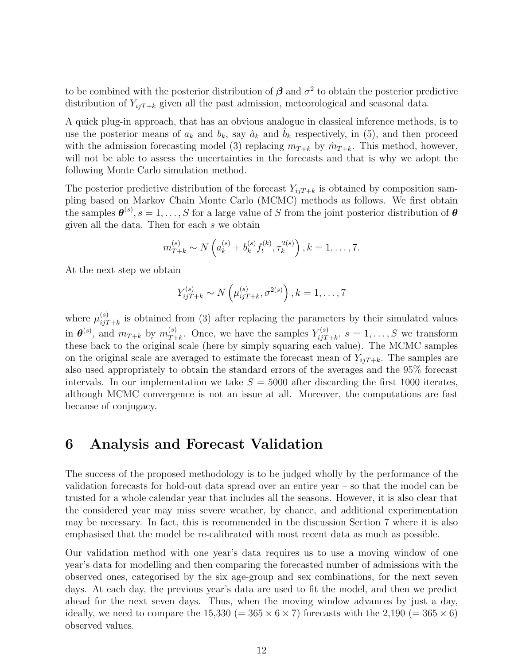to be combined with the posterior distribution of  $\beta$  and  $\sigma^2$  to obtain the posterior predictive distribution of  $Y_{ijT+k}$  given all the past admission, meteorological and seasonal data.

A quick plug-in approach, that has an obvious analogue in classical inference methods, is to use the posterior means of  $a_k$  and  $b_k$ , say  $\hat{a}_k$  and  $b_k$  respectively, in (5), and then proceed with the admission forecasting model (3) replacing  $m_{T+k}$  by  $\hat{m}_{T+k}$ . This method, however, will not be able to assess the uncertainties in the forecasts and that is why we adopt the following Monte Carlo simulation method.

The posterior predictive distribution of the forecast  $Y_{ijT+k}$  is obtained by composition sampling based on Markov Chain Monte Carlo (MCMC) methods as follows. We first obtain the samples  $\boldsymbol{\theta}^{(s)}, s = 1, \ldots, S$  for a large value of S from the joint posterior distribution of  $\boldsymbol{\theta}$ given all the data. Then for each s we obtain

$$
m_{T+k}^{(s)} \sim N\left(a_k^{(s)} + b_k^{(s)} f_t^{(k)}, \tau_k^{2(s)}\right), k = 1, \ldots, 7.
$$

At the next step we obtain

$$
Y_{ijT+k}^{(s)} \sim N\left(\mu_{ijT+k}^{(s)}, \sigma^{2(s)}\right), k = 1, ..., 7
$$

where  $\mu_{ii7}^{(s)}$  $\sum_{i,jT+k}^{(s)}$  is obtained from (3) after replacing the parameters by their simulated values in  $\boldsymbol{\theta}^{(s)}$ , and  $m_{T+k}$  by  $m_{T+k}^{(s)}$  $Y_{T+k}^{(s)}$ . Once, we have the samples  $Y_{ijT}^{(s)}$  $i_{ij}^{(s)}(s)$   $s = 1, \ldots, S$  we transform these back to the original scale (here by simply squaring each value). The MCMC samples on the original scale are averaged to estimate the forecast mean of  $Y_{i,jT+k}$ . The samples are also used appropriately to obtain the standard errors of the averages and the 95% forecast intervals. In our implementation we take  $S = 5000$  after discarding the first 1000 iterates, although MCMC convergence is not an issue at all. Moreover, the computations are fast because of conjugacy.

#### 6 Analysis and Forecast Validation

The success of the proposed methodology is to be judged wholly by the performance of the validation forecasts for hold-out data spread over an entire year – so that the model can be trusted for a whole calendar year that includes all the seasons. However, it is also clear that the considered year may miss severe weather, by chance, and additional experimentation may be necessary. In fact, this is recommended in the discussion Section 7 where it is also emphasised that the model be re-calibrated with most recent data as much as possible.

Our validation method with one year's data requires us to use a moving window of one year's data for modelling and then comparing the forecasted number of admissions with the observed ones, categorised by the six age-group and sex combinations, for the next seven days. At each day, the previous year's data are used to fit the model, and then we predict ahead for the next seven days. Thus, when the moving window advances by just a day, ideally, we need to compare the  $15,330 (= 365 \times 6 \times 7)$  forecasts with the  $2,190 (= 365 \times 6)$ observed values.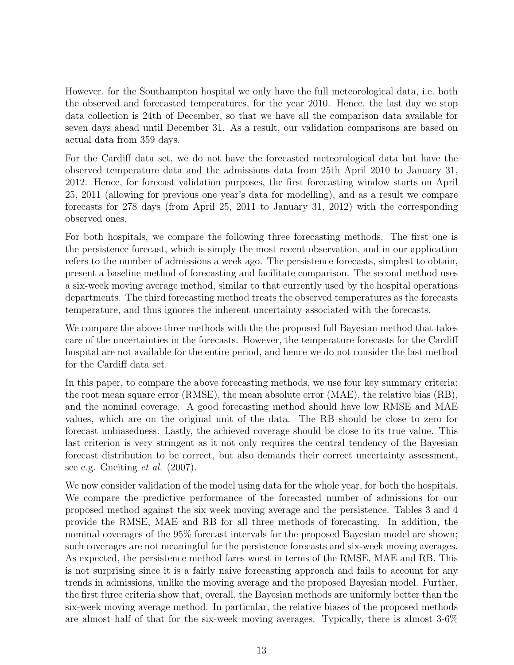However, for the Southampton hospital we only have the full meteorological data, i.e. both the observed and forecasted temperatures, for the year 2010. Hence, the last day we stop data collection is 24th of December, so that we have all the comparison data available for seven days ahead until December 31. As a result, our validation comparisons are based on actual data from 359 days.

For the Cardiff data set, we do not have the forecasted meteorological data but have the observed temperature data and the admissions data from 25th April 2010 to January 31, 2012. Hence, for forecast validation purposes, the first forecasting window starts on April 25, 2011 (allowing for previous one year's data for modelling), and as a result we compare forecasts for 278 days (from April 25, 2011 to January 31, 2012) with the corresponding observed ones.

For both hospitals, we compare the following three forecasting methods. The first one is the persistence forecast, which is simply the most recent observation, and in our application refers to the number of admissions a week ago. The persistence forecasts, simplest to obtain, present a baseline method of forecasting and facilitate comparison. The second method uses a six-week moving average method, similar to that currently used by the hospital operations departments. The third forecasting method treats the observed temperatures as the forecasts temperature, and thus ignores the inherent uncertainty associated with the forecasts.

We compare the above three methods with the the proposed full Bayesian method that takes care of the uncertainties in the forecasts. However, the temperature forecasts for the Cardiff hospital are not available for the entire period, and hence we do not consider the last method for the Cardiff data set.

In this paper, to compare the above forecasting methods, we use four key summary criteria: the root mean square error (RMSE), the mean absolute error (MAE), the relative bias (RB), and the nominal coverage. A good forecasting method should have low RMSE and MAE values, which are on the original unit of the data. The RB should be close to zero for forecast unbiasedness. Lastly, the achieved coverage should be close to its true value. This last criterion is very stringent as it not only requires the central tendency of the Bayesian forecast distribution to be correct, but also demands their correct uncertainty assessment, see e.g. Gneiting *et al.* (2007).

We now consider validation of the model using data for the whole year, for both the hospitals. We compare the predictive performance of the forecasted number of admissions for our proposed method against the six week moving average and the persistence. Tables 3 and 4 provide the RMSE, MAE and RB for all three methods of forecasting. In addition, the nominal coverages of the 95% forecast intervals for the proposed Bayesian model are shown; such coverages are not meaningful for the persistence forecasts and six-week moving averages. As expected, the persistence method fares worst in terms of the RMSE, MAE and RB. This is not surprising since it is a fairly naive forecasting approach and fails to account for any trends in admissions, unlike the moving average and the proposed Bayesian model. Further, the first three criteria show that, overall, the Bayesian methods are uniformly better than the six-week moving average method. In particular, the relative biases of the proposed methods are almost half of that for the six-week moving averages. Typically, there is almost 3-6%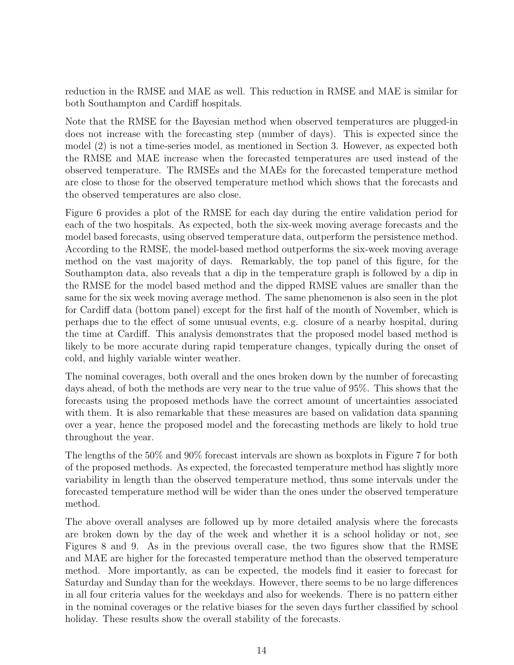reduction in the RMSE and MAE as well. This reduction in RMSE and MAE is similar for both Southampton and Cardiff hospitals.

Note that the RMSE for the Bayesian method when observed temperatures are plugged-in does not increase with the forecasting step (number of days). This is expected since the model (2) is not a time-series model, as mentioned in Section 3. However, as expected both the RMSE and MAE increase when the forecasted temperatures are used instead of the observed temperature. The RMSEs and the MAEs for the forecasted temperature method are close to those for the observed temperature method which shows that the forecasts and the observed temperatures are also close.

Figure 6 provides a plot of the RMSE for each day during the entire validation period for each of the two hospitals. As expected, both the six-week moving average forecasts and the model based forecasts, using observed temperature data, outperform the persistence method. According to the RMSE, the model-based method outperforms the six-week moving average method on the vast majority of days. Remarkably, the top panel of this figure, for the Southampton data, also reveals that a dip in the temperature graph is followed by a dip in the RMSE for the model based method and the dipped RMSE values are smaller than the same for the six week moving average method. The same phenomenon is also seen in the plot for Cardiff data (bottom panel) except for the first half of the month of November, which is perhaps due to the effect of some unusual events, e.g. closure of a nearby hospital, during the time at Cardiff. This analysis demonstrates that the proposed model based method is likely to be more accurate during rapid temperature changes, typically during the onset of cold, and highly variable winter weather.

The nominal coverages, both overall and the ones broken down by the number of forecasting days ahead, of both the methods are very near to the true value of 95%. This shows that the forecasts using the proposed methods have the correct amount of uncertainties associated with them. It is also remarkable that these measures are based on validation data spanning over a year, hence the proposed model and the forecasting methods are likely to hold true throughout the year.

The lengths of the 50% and 90% forecast intervals are shown as boxplots in Figure 7 for both of the proposed methods. As expected, the forecasted temperature method has slightly more variability in length than the observed temperature method, thus some intervals under the forecasted temperature method will be wider than the ones under the observed temperature method.

The above overall analyses are followed up by more detailed analysis where the forecasts are broken down by the day of the week and whether it is a school holiday or not, see Figures 8 and 9. As in the previous overall case, the two figures show that the RMSE and MAE are higher for the forecasted temperature method than the observed temperature method. More importantly, as can be expected, the models find it easier to forecast for Saturday and Sunday than for the weekdays. However, there seems to be no large differences in all four criteria values for the weekdays and also for weekends. There is no pattern either in the nominal coverages or the relative biases for the seven days further classified by school holiday. These results show the overall stability of the forecasts.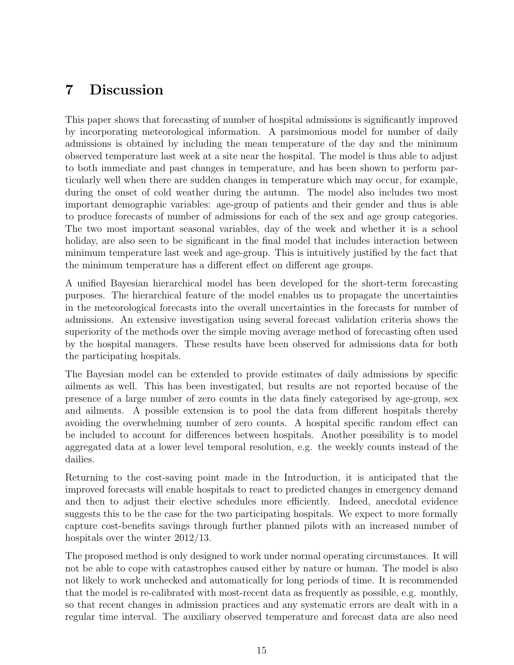# 7 Discussion

This paper shows that forecasting of number of hospital admissions is significantly improved by incorporating meteorological information. A parsimonious model for number of daily admissions is obtained by including the mean temperature of the day and the minimum observed temperature last week at a site near the hospital. The model is thus able to adjust to both immediate and past changes in temperature, and has been shown to perform particularly well when there are sudden changes in temperature which may occur, for example, during the onset of cold weather during the autumn. The model also includes two most important demographic variables: age-group of patients and their gender and thus is able to produce forecasts of number of admissions for each of the sex and age group categories. The two most important seasonal variables, day of the week and whether it is a school holiday, are also seen to be significant in the final model that includes interaction between minimum temperature last week and age-group. This is intuitively justified by the fact that the minimum temperature has a different effect on different age groups.

A unified Bayesian hierarchical model has been developed for the short-term forecasting purposes. The hierarchical feature of the model enables us to propagate the uncertainties in the meteorological forecasts into the overall uncertainties in the forecasts for number of admissions. An extensive investigation using several forecast validation criteria shows the superiority of the methods over the simple moving average method of forecasting often used by the hospital managers. These results have been observed for admissions data for both the participating hospitals.

The Bayesian model can be extended to provide estimates of daily admissions by specific ailments as well. This has been investigated, but results are not reported because of the presence of a large number of zero counts in the data finely categorised by age-group, sex and ailments. A possible extension is to pool the data from different hospitals thereby avoiding the overwhelming number of zero counts. A hospital specific random effect can be included to account for differences between hospitals. Another possibility is to model aggregated data at a lower level temporal resolution, e.g. the weekly counts instead of the dailies.

Returning to the cost-saving point made in the Introduction, it is anticipated that the improved forecasts will enable hospitals to react to predicted changes in emergency demand and then to adjust their elective schedules more efficiently. Indeed, anecdotal evidence suggests this to be the case for the two participating hospitals. We expect to more formally capture cost-benefits savings through further planned pilots with an increased number of hospitals over the winter 2012/13.

The proposed method is only designed to work under normal operating circumstances. It will not be able to cope with catastrophes caused either by nature or human. The model is also not likely to work unchecked and automatically for long periods of time. It is recommended that the model is re-calibrated with most-recent data as frequently as possible, e.g. monthly, so that recent changes in admission practices and any systematic errors are dealt with in a regular time interval. The auxiliary observed temperature and forecast data are also need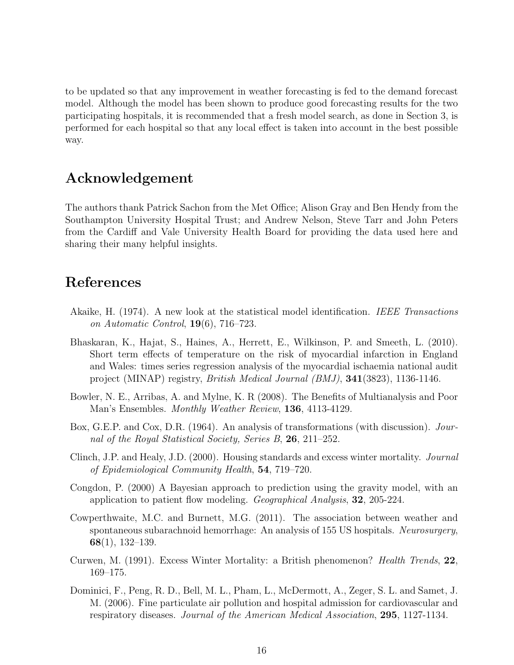to be updated so that any improvement in weather forecasting is fed to the demand forecast model. Although the model has been shown to produce good forecasting results for the two participating hospitals, it is recommended that a fresh model search, as done in Section 3, is performed for each hospital so that any local effect is taken into account in the best possible way.

## Acknowledgement

The authors thank Patrick Sachon from the Met Office; Alison Gray and Ben Hendy from the Southampton University Hospital Trust; and Andrew Nelson, Steve Tarr and John Peters from the Cardiff and Vale University Health Board for providing the data used here and sharing their many helpful insights.

#### References

- Akaike, H. (1974). A new look at the statistical model identification. IEEE Transactions on Automatic Control,  $19(6)$ ,  $716-723$ .
- Bhaskaran, K., Hajat, S., Haines, A., Herrett, E., Wilkinson, P. and Smeeth, L. (2010). Short term effects of temperature on the risk of myocardial infarction in England and Wales: times series regression analysis of the myocardial ischaemia national audit project (MINAP) registry, British Medical Journal (BMJ), 341(3823), 1136-1146.
- Bowler, N. E., Arribas, A. and Mylne, K. R (2008). The Benefits of Multianalysis and Poor Man's Ensembles. Monthly Weather Review, 136, 4113-4129.
- Box, G.E.P. and Cox, D.R. (1964). An analysis of transformations (with discussion). Journal of the Royal Statistical Society, Series B, 26, 211–252.
- Clinch, J.P. and Healy, J.D. (2000). Housing standards and excess winter mortality. Journal of Epidemiological Community Health, 54, 719–720.
- Congdon, P. (2000) A Bayesian approach to prediction using the gravity model, with an application to patient flow modeling. Geographical Analysis, 32, 205-224.
- Cowperthwaite, M.C. and Burnett, M.G. (2011). The association between weather and spontaneous subarachnoid hemorrhage: An analysis of 155 US hospitals. Neurosurgery, 68(1), 132–139.
- Curwen, M. (1991). Excess Winter Mortality: a British phenomenon? Health Trends, 22, 169–175.
- Dominici, F., Peng, R. D., Bell, M. L., Pham, L., McDermott, A., Zeger, S. L. and Samet, J. M. (2006). Fine particulate air pollution and hospital admission for cardiovascular and respiratory diseases. Journal of the American Medical Association, 295, 1127-1134.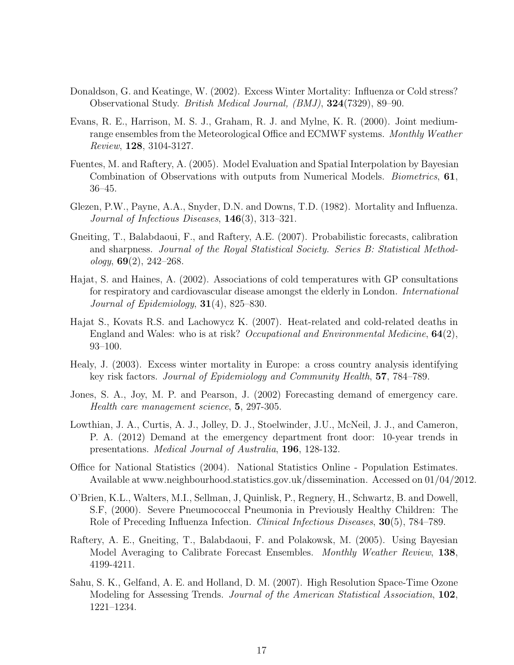- Donaldson, G. and Keatinge, W. (2002). Excess Winter Mortality: Influenza or Cold stress? Observational Study. British Medical Journal, (BMJ), 324(7329), 89–90.
- Evans, R. E., Harrison, M. S. J., Graham, R. J. and Mylne, K. R. (2000). Joint mediumrange ensembles from the Meteorological Office and ECMWF systems. Monthly Weather Review, 128, 3104-3127.
- Fuentes, M. and Raftery, A. (2005). Model Evaluation and Spatial Interpolation by Bayesian Combination of Observations with outputs from Numerical Models. Biometrics, 61, 36–45.
- Glezen, P.W., Payne, A.A., Snyder, D.N. and Downs, T.D. (1982). Mortality and Influenza. Journal of Infectious Diseases, 146(3), 313–321.
- Gneiting, T., Balabdaoui, F., and Raftery, A.E. (2007). Probabilistic forecasts, calibration and sharpness. Journal of the Royal Statistical Society. Series B: Statistical Method $ology, 69(2), 242-268.$
- Hajat, S. and Haines, A. (2002). Associations of cold temperatures with GP consultations for respiratory and cardiovascular disease amongst the elderly in London. International Journal of Epidemiology,  $31(4)$ , 825–830.
- Hajat S., Kovats R.S. and Lachowycz K. (2007). Heat-related and cold-related deaths in England and Wales: who is at risk? Occupational and Environmental Medicine,  $64(2)$ , 93–100.
- Healy, J. (2003). Excess winter mortality in Europe: a cross country analysis identifying key risk factors. Journal of Epidemiology and Community Health, 57, 784–789.
- Jones, S. A., Joy, M. P. and Pearson, J. (2002) Forecasting demand of emergency care. Health care management science, 5, 297-305.
- Lowthian, J. A., Curtis, A. J., Jolley, D. J., Stoelwinder, J.U., McNeil, J. J., and Cameron, P. A. (2012) Demand at the emergency department front door: 10-year trends in presentations. Medical Journal of Australia, 196, 128-132.
- Office for National Statistics (2004). National Statistics Online Population Estimates. Available at www.neighbourhood.statistics.gov.uk/dissemination. Accessed on 01/04/2012.
- O'Brien, K.L., Walters, M.I., Sellman, J, Quinlisk, P., Regnery, H., Schwartz, B. and Dowell, S.F, (2000). Severe Pneumococcal Pneumonia in Previously Healthy Children: The Role of Preceding Influenza Infection. Clinical Infectious Diseases, 30(5), 784–789.
- Raftery, A. E., Gneiting, T., Balabdaoui, F. and Polakowsk, M. (2005). Using Bayesian Model Averaging to Calibrate Forecast Ensembles. Monthly Weather Review, 138, 4199-4211.
- Sahu, S. K., Gelfand, A. E. and Holland, D. M. (2007). High Resolution Space-Time Ozone Modeling for Assessing Trends. Journal of the American Statistical Association, 102, 1221–1234.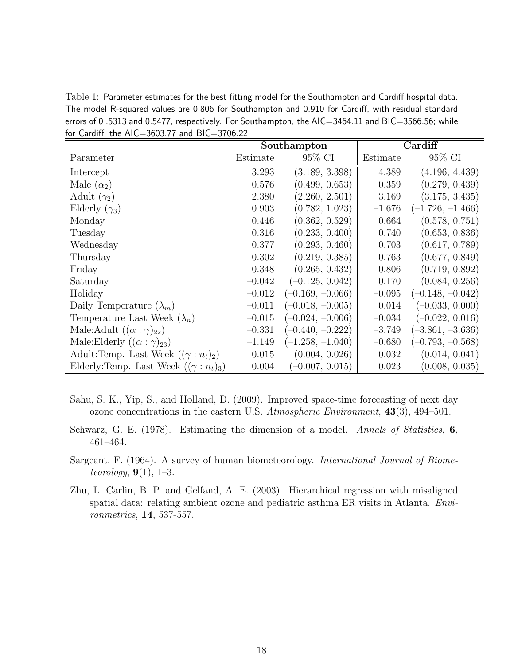Table 1: Parameter estimates for the best fitting model for the Southampton and Cardiff hospital data. The model R-squared values are 0.806 for Southampton and 0.910 for Cardiff, with residual standard errors of 0.5313 and 0.5477, respectively. For Southampton, the AIC=3464.11 and BIC=3566.56; while for Cardiff, the AIC=3603.77 and BIC=3706.22.

|                                               |          | Southampton        | Cardiff  |                    |  |
|-----------------------------------------------|----------|--------------------|----------|--------------------|--|
| Parameter                                     | Estimate | 95% CI             | Estimate | 95% CI             |  |
| Intercept                                     | 3.293    | (3.189, 3.398)     | 4.389    | (4.196, 4.439)     |  |
| Male $(\alpha_2)$                             | 0.576    | (0.499, 0.653)     | 0.359    | (0.279, 0.439)     |  |
| Adult $(\gamma_2)$                            | 2.380    | (2.260, 2.501)     | 3.169    | (3.175, 3.435)     |  |
| Elderly $(\gamma_3)$                          | 0.903    | (0.782, 1.023)     | $-1.676$ | $(-1.726, -1.466)$ |  |
| Monday                                        | 0.446    | (0.362, 0.529)     | 0.664    | (0.578, 0.751)     |  |
| Tuesday                                       | 0.316    | (0.233, 0.400)     | 0.740    | (0.653, 0.836)     |  |
| Wednesday                                     | 0.377    | (0.293, 0.460)     | 0.703    | (0.617, 0.789)     |  |
| Thursday                                      | 0.302    | (0.219, 0.385)     | 0.763    | (0.677, 0.849)     |  |
| Friday                                        | 0.348    | (0.265, 0.432)     | 0.806    | (0.719, 0.892)     |  |
| Saturday                                      | $-0.042$ | $(-0.125, 0.042)$  | 0.170    | (0.084, 0.256)     |  |
| Holiday                                       | $-0.012$ | $(-0.169, -0.066)$ | $-0.095$ | $(-0.148, -0.042)$ |  |
| Daily Temperature $(\lambda_m)$               | $-0.011$ | $(-0.018, -0.005)$ | 0.014    | $(-0.033, 0.000)$  |  |
| Temperature Last Week $(\lambda_n)$           | $-0.015$ | $(-0.024, -0.006)$ | $-0.034$ | $(-0.022, 0.016)$  |  |
| Male:Adult $((\alpha : \gamma)_{22})$         | $-0.331$ | $(-0.440, -0.222)$ | $-3.749$ | $(-3.861, -3.636)$ |  |
| Male:Elderly $((\alpha : \gamma)_{23})$       | $-1.149$ | $(-1.258, -1.040)$ | $-0.680$ | $(-0.793, -0.568)$ |  |
| Adult:Temp. Last Week $((\gamma : n_t)_2)$    | 0.015    | (0.004, 0.026)     | 0.032    | (0.014, 0.041)     |  |
| Elderly: Temp. Last Week $((\gamma : n_t)_3)$ | 0.004    | $(-0.007, 0.015)$  | 0.023    | (0.008, 0.035)     |  |

- Sahu, S. K., Yip, S., and Holland, D. (2009). Improved space-time forecasting of next day ozone concentrations in the eastern U.S. Atmospheric Environment, 43(3), 494–501.
- Schwarz, G. E. (1978). Estimating the dimension of a model. Annals of Statistics, 6, 461–464.
- Sargeant, F. (1964). A survey of human biometeorology. International Journal of Biometeorology,  $9(1)$ , 1–3.
- Zhu, L. Carlin, B. P. and Gelfand, A. E. (2003). Hierarchical regression with misaligned spatial data: relating ambient ozone and pediatric asthma ER visits in Atlanta. Environmetrics, 14, 537-557.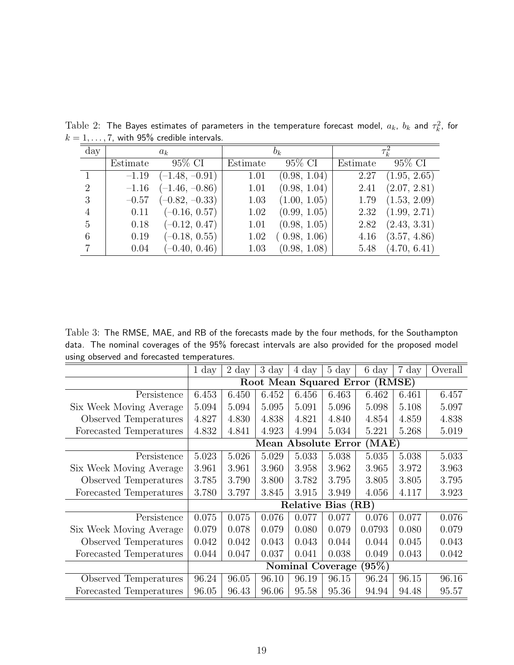| $\rm day$      | $a_k$    |                  |          | $b_k$        | $\tau_{\rm\scriptscriptstyle L}^{\scriptscriptstyle\omega}$ |              |  |
|----------------|----------|------------------|----------|--------------|-------------------------------------------------------------|--------------|--|
|                | Estimate | 95\% CI          | Estimate | 95% CI       | Estimate                                                    | 95\% CI      |  |
|                | $-1.19$  | $(-1.48, -0.91)$ | 1.01     | (0.98, 1.04) | 2.27                                                        | (1.95, 2.65) |  |
| $\overline{2}$ | $-1.16$  | $(-1.46, -0.86)$ | 1.01     | (0.98, 1.04) | 2.41                                                        | (2.07, 2.81) |  |
| 3              | $-0.57$  | $(-0.82, -0.33)$ | 1.03     | (1.00, 1.05) | 1.79                                                        | (1.53, 2.09) |  |
| $\overline{4}$ | 0.11     | $(-0.16, 0.57)$  | 1.02     | (0.99, 1.05) | 2.32                                                        | (1.99, 2.71) |  |
| 5              | 0.18     | $(-0.12, 0.47)$  | 1.01     | (0.98, 1.05) | 2.82                                                        | (2.43, 3.31) |  |
| 6              | 0.19     | $(-0.18, 0.55)$  | 1.02     | (0.98, 1.06) | 4.16                                                        | (3.57, 4.86) |  |
|                | 0.04     | $(-0.40, 0.46)$  | 1.03     | (0.98, 1.08) | 5.48                                                        | (4.70, 6.41) |  |

 $\text{Table 2:}$  The Bayes estimates of parameters in the temperature forecast model,  $a_k,\ b_k$  and  $\tau_k^2$ , for  $k = 1, \ldots, 7$ , with 95% credible intervals.

Table 3: The RMSE, MAE, and RB of the forecasts made by the four methods, for the Southampton data. The nominal coverages of the 95% forecast intervals are also provided for the proposed model using observed and forecasted temperatures.

|                         | $1 \mathrm{day}$                          | $2 \mathrm{day}$ | $3\;day$ | 4 day | $5\;day$ | 6 day  | 7 day | Overall |  |
|-------------------------|-------------------------------------------|------------------|----------|-------|----------|--------|-------|---------|--|
|                         | Root Mean Squared Error (RMSE)            |                  |          |       |          |        |       |         |  |
| Persistence             | 6.453                                     | 6.450            | 6.452    | 6.456 | 6.463    | 6.462  | 6.461 | 6.457   |  |
| Six Week Moving Average | 5.094                                     | 5.094            | 5.095    | 5.091 | 5.096    | 5.098  | 5.108 | 5.097   |  |
| Observed Temperatures   | 4.827                                     | 4.830            | 4.838    | 4.821 | 4.840    | 4.854  | 4.859 | 4.838   |  |
| Forecasted Temperatures | 4.832                                     | 4.841            | 4.923    | 4.994 | 5.034    | 5.221  | 5.268 | 5.019   |  |
|                         | (MAE)<br><b>Mean Absolute Error</b>       |                  |          |       |          |        |       |         |  |
| Persistence             | 5.023                                     | 5.026            | 5.029    | 5.033 | 5.038    | 5.035  | 5.038 | 5.033   |  |
| Six Week Moving Average | 3.961                                     | 3.961            | 3.960    | 3.958 | 3.962    | 3.965  | 3.972 | 3.963   |  |
| Observed Temperatures   | 3.785                                     | 3.790            | 3.800    | 3.782 | 3.795    | 3.805  | 3.805 | 3.795   |  |
| Forecasted Temperatures | 3.780                                     | 3.797            | 3.845    | 3.915 | 3.949    | 4.056  | 4.117 | 3.923   |  |
|                         | Relative Bias (RB)                        |                  |          |       |          |        |       |         |  |
| Persistence             | 0.075                                     | 0.075            | 0.076    | 0.077 | 0.077    | 0.076  | 0.077 | 0.076   |  |
| Six Week Moving Average | 0.079                                     | 0.078            | 0.079    | 0.080 | 0.079    | 0.0793 | 0.080 | 0.079   |  |
| Observed Temperatures   | 0.042                                     | 0.042            | 0.043    | 0.043 | 0.044    | 0.044  | 0.045 | 0.043   |  |
| Forecasted Temperatures | 0.044                                     | 0.047            | 0.037    | 0.041 | 0.038    | 0.049  | 0.043 | 0.042   |  |
|                         | $\bar{[}95\%)$<br><b>Nominal Coverage</b> |                  |          |       |          |        |       |         |  |
| Observed Temperatures   | 96.24                                     | 96.05            | 96.10    | 96.19 | 96.15    | 96.24  | 96.15 | 96.16   |  |
| Forecasted Temperatures | 96.05                                     | 96.43            | 96.06    | 95.58 | 95.36    | 94.94  | 94.48 | 95.57   |  |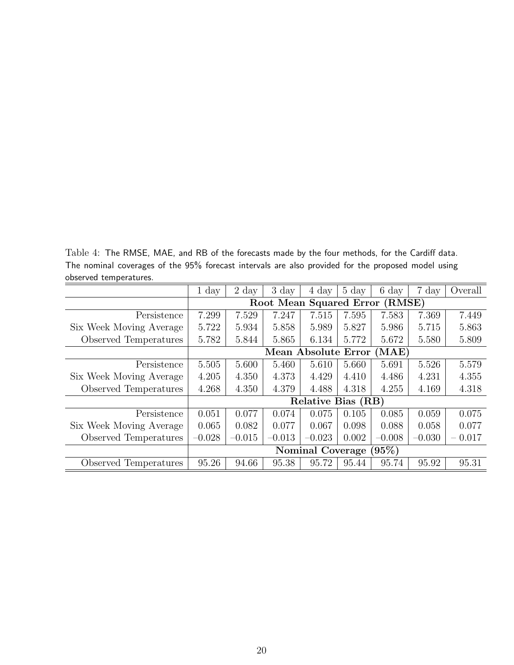Table 4: The RMSE, MAE, and RB of the forecasts made by the four methods, for the Cardiff data. The nominal coverages of the 95% forecast intervals are also provided for the proposed model using observed temperatures.

| $5551$ $\sqrt{54}$ $\sqrt{511}$ $\sqrt{51}$ $\sqrt{51}$ |                                     |                  |                |          |                |                |          |          |  |
|---------------------------------------------------------|-------------------------------------|------------------|----------------|----------|----------------|----------------|----------|----------|--|
|                                                         | $1 \mathrm{day}$                    | $2 \mathrm{day}$ | $3\;{\rm day}$ | 4 day    | $5\;{\rm day}$ | $6\;{\rm day}$ | 7 day    | Overall  |  |
|                                                         | (RMSE)<br>Root Mean Squared Error   |                  |                |          |                |                |          |          |  |
| Persistence                                             | 7.299                               | 7.529            | 7.247          | 7.515    | 7.595          | 7.583          | 7.369    | 7.449    |  |
| Six Week Moving Average                                 | 5.722                               | 5.934            | 5.858          | 5.989    | 5.827          | 5.986          | 5.715    | 5.863    |  |
| Observed Temperatures                                   | 5.782                               | 5.844            | 5.865          | 6.134    | 5.772          | 5.672          | 5.580    | 5.809    |  |
|                                                         | <b>Mean Absolute Error</b><br>(MAE) |                  |                |          |                |                |          |          |  |
| Persistence                                             | 5.505                               | 5.600            | 5.460          | 5.610    | 5.660          | 5.691          | 5.526    | 5.579    |  |
| Six Week Moving Average                                 | 4.205                               | 4.350            | 4.373          | 4.429    | 4.410          | 4.486          | 4.231    | 4.355    |  |
| Observed Temperatures                                   | 4.268                               | 4.350            | 4.379          | 4.488    | 4.318          | 4.255          | 4.169    | 4.318    |  |
|                                                         | <b>Relative Bias (RB)</b>           |                  |                |          |                |                |          |          |  |
| Persistence                                             | 0.051                               | 0.077            | 0.074          | 0.075    | 0.105          | 0.085          | 0.059    | 0.075    |  |
| Six Week Moving Average                                 | 0.065                               | 0.082            | 0.077          | 0.067    | 0.098          | 0.088          | 0.058    | 0.077    |  |
| Observed Temperatures                                   | $-0.028$                            | $-0.015$         | $-0.013$       | $-0.023$ | 0.002          | $-0.008$       | $-0.030$ | $-0.017$ |  |
|                                                         | (95%)<br>Nominal Coverage (         |                  |                |          |                |                |          |          |  |
| Observed Temperatures                                   | 95.26                               | 94.66            | 95.38          | 95.72    | 95.44          | 95.74          | 95.92    | 95.31    |  |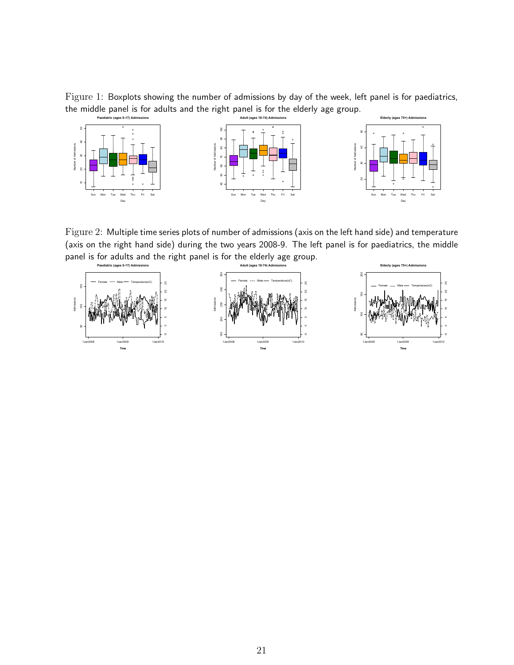Figure 1: Boxplots showing the number of admissions by day of the week, left panel is for paediatrics, the middle panel is for adults and the right panel is for the elderly age group.



Figure 2: Multiple time series plots of number of admissions (axis on the left hand side) and temperature (axis on the right hand side) during the two years 2008-9. The left panel is for paediatrics, the middle panel is for adults and the right panel is for the elderly age group.

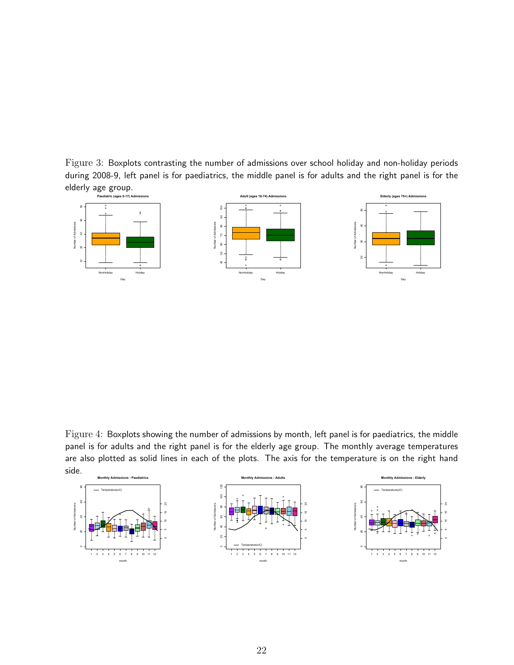Figure 3: Boxplots contrasting the number of admissions over school holiday and non-holiday periods during 2008-9, left panel is for paediatrics, the middle panel is for adults and the right panel is for the elderly age group.



Figure 4: Boxplots showing the number of admissions by month, left panel is for paediatrics, the middle panel is for adults and the right panel is for the elderly age group. The monthly average temperatures are also plotted as solid lines in each of the plots. The axis for the temperature is on the right hand side.

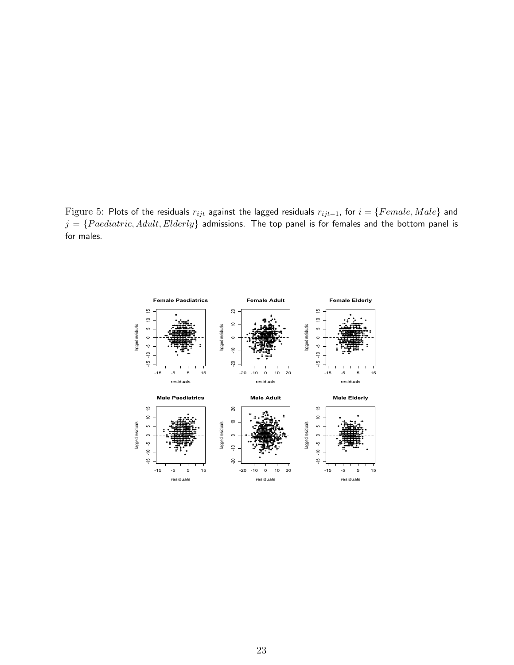Figure 5: Plots of the residuals  $r_{ijt}$  against the lagged residuals  $r_{ijt-1}$ , for  $i = \{Female, Male\}$  and  $j = \{Paediatric, Adult, Elderly\}$  admissions. The top panel is for females and the bottom panel is for males.

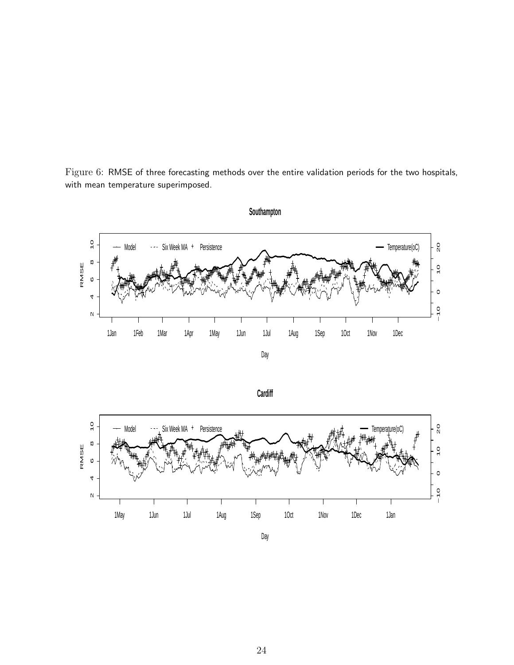Figure 6: RMSE of three forecasting methods over the entire validation periods for the two hospitals, with mean temperature superimposed.







**Southampton**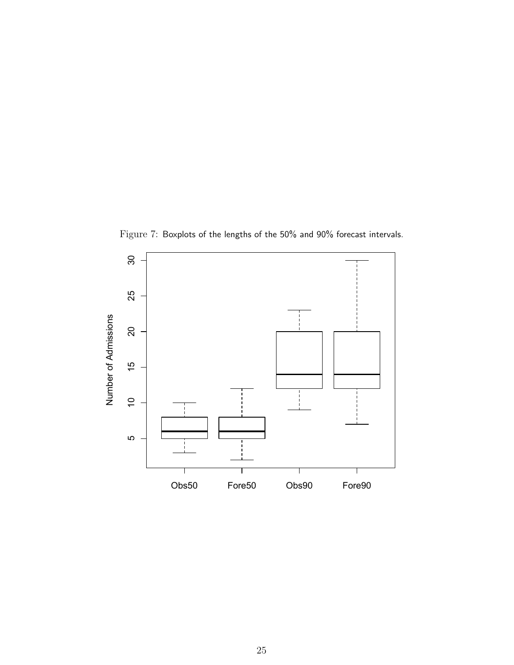

Figure 7: Boxplots of the lengths of the 50% and 90% forecast intervals.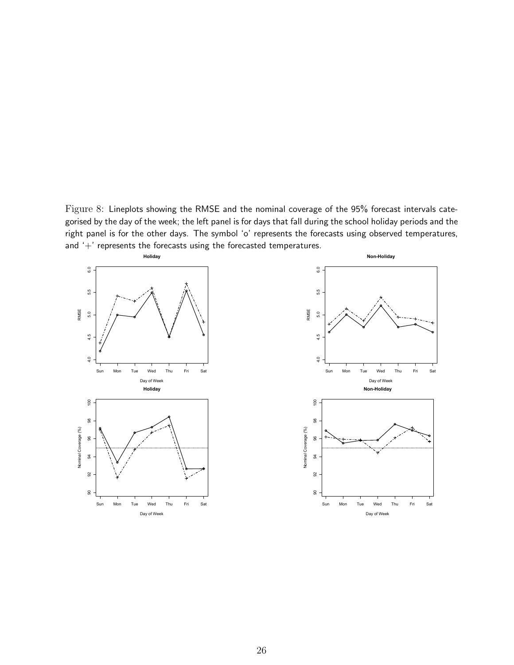Figure 8: Lineplots showing the RMSE and the nominal coverage of the 95% forecast intervals categorised by the day of the week; the left panel is for days that fall during the school holiday periods and the right panel is for the other days. The symbol 'o' represents the forecasts using observed temperatures, and '+' represents the forecasts using the forecasted temperatures.